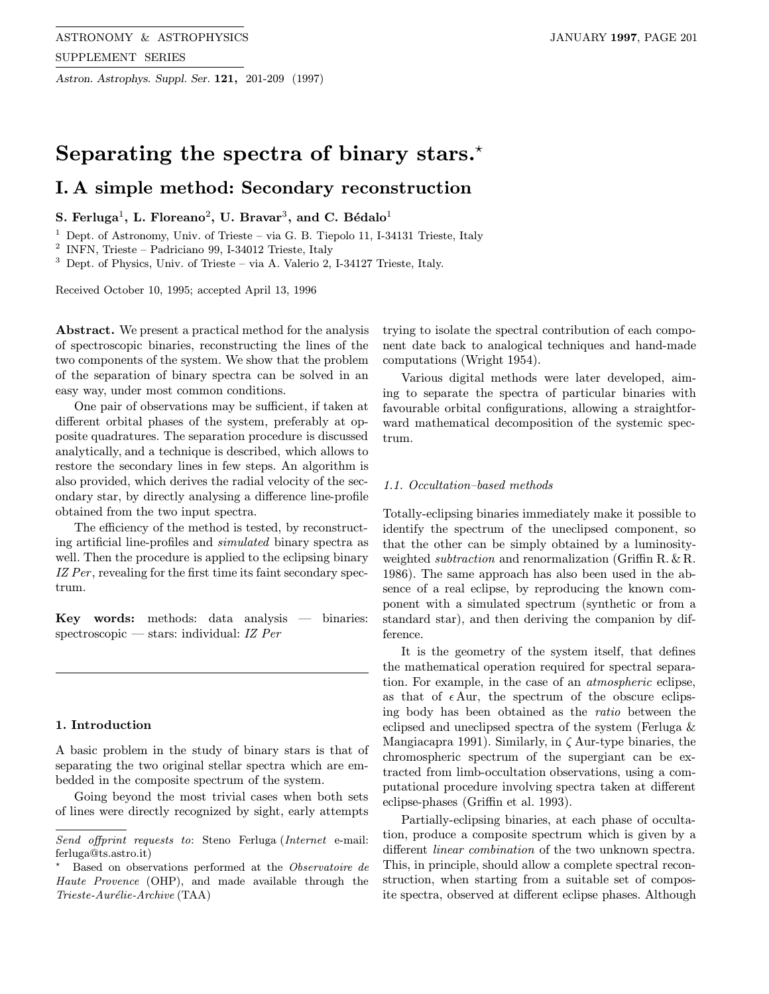Astron. Astrophys. Suppl. Ser. 121, 201-209 (1997)

# Separating the spectra of binary stars. $\star$

## I. A simple method: Secondary reconstruction

## S. Ferluga<sup>1</sup>, L. Floreano<sup>2</sup>, U. Bravar<sup>3</sup>, and C. Bédalo<sup>1</sup>

<sup>1</sup> Dept. of Astronomy, Univ. of Trieste – via G. B. Tiepolo 11, I-34131 Trieste, Italy

 $2$  INFN, Trieste – Padriciano 99, I-34012 Trieste, Italy

<sup>3</sup> Dept. of Physics, Univ. of Trieste – via A. Valerio 2, I-34127 Trieste, Italy.

Received October 10, 1995; accepted April 13, 1996

Abstract. We present a practical method for the analysis of spectroscopic binaries, reconstructing the lines of the two components of the system. We show that the problem of the separation of binary spectra can be solved in an easy way, under most common conditions.

One pair of observations may be sufficient, if taken at different orbital phases of the system, preferably at opposite quadratures. The separation procedure is discussed analytically, and a technique is described, which allows to restore the secondary lines in few steps. An algorithm is also provided, which derives the radial velocity of the secondary star, by directly analysing a difference line-profile obtained from the two input spectra.

The efficiency of the method is tested, by reconstructing artificial line-profiles and simulated binary spectra as well. Then the procedure is applied to the eclipsing binary IZ Per, revealing for the first time its faint secondary spectrum.

Key words: methods: data analysis — binaries: spectroscopic — stars: individual: IZ Per

#### 1. Introduction

A basic problem in the study of binary stars is that of separating the two original stellar spectra which are embedded in the composite spectrum of the system.

Going beyond the most trivial cases when both sets of lines were directly recognized by sight, early attempts

trying to isolate the spectral contribution of each component date back to analogical techniques and hand-made computations (Wright 1954).

Various digital methods were later developed, aiming to separate the spectra of particular binaries with favourable orbital configurations, allowing a straightforward mathematical decomposition of the systemic spectrum.

#### 1.1. Occultation–based methods

Totally-eclipsing binaries immediately make it possible to identify the spectrum of the uneclipsed component, so that the other can be simply obtained by a luminosityweighted *subtraction* and renormalization (Griffin R. & R. 1986). The same approach has also been used in the absence of a real eclipse, by reproducing the known component with a simulated spectrum (synthetic or from a standard star), and then deriving the companion by difference.

It is the geometry of the system itself, that defines the mathematical operation required for spectral separation. For example, in the case of an atmospheric eclipse, as that of  $\epsilon$  Aur, the spectrum of the obscure eclipsing body has been obtained as the ratio between the eclipsed and uneclipsed spectra of the system (Ferluga & Mangiacapra 1991). Similarly, in  $\zeta$  Aur-type binaries, the chromospheric spectrum of the supergiant can be extracted from limb-occultation observations, using a computational procedure involving spectra taken at different eclipse-phases (Griffin et al. 1993).

Partially-eclipsing binaries, at each phase of occultation, produce a composite spectrum which is given by a different linear combination of the two unknown spectra. This, in principle, should allow a complete spectral reconstruction, when starting from a suitable set of composite spectra, observed at different eclipse phases. Although

Send offprint requests to: Steno Ferluga (Internet e-mail: ferluga@ts.astro.it)

<sup>?</sup> Based on observations performed at the Observatoire de Haute Provence (OHP), and made available through the  $Trieste-Aurélie-Archive (TAA)$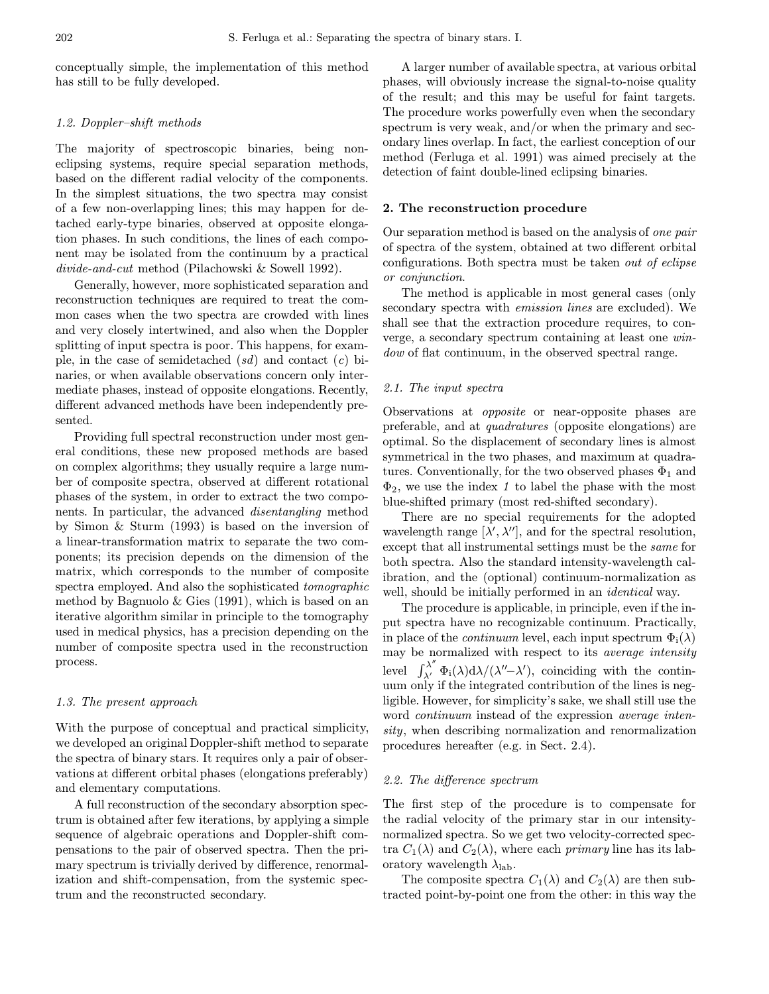conceptually simple, the implementation of this method has still to be fully developed.

## 1.2. Doppler–shift methods

The majority of spectroscopic binaries, being noneclipsing systems, require special separation methods, based on the different radial velocity of the components. In the simplest situations, the two spectra may consist of a few non-overlapping lines; this may happen for detached early-type binaries, observed at opposite elongation phases. In such conditions, the lines of each component may be isolated from the continuum by a practical divide-and-cut method (Pilachowski & Sowell 1992).

Generally, however, more sophisticated separation and reconstruction techniques are required to treat the common cases when the two spectra are crowded with lines and very closely intertwined, and also when the Doppler splitting of input spectra is poor. This happens, for example, in the case of semidetached  $(sd)$  and contact  $(c)$  binaries, or when available observations concern only intermediate phases, instead of opposite elongations. Recently, different advanced methods have been independently presented.

Providing full spectral reconstruction under most general conditions, these new proposed methods are based on complex algorithms; they usually require a large number of composite spectra, observed at different rotational phases of the system, in order to extract the two components. In particular, the advanced disentangling method by Simon & Sturm (1993) is based on the inversion of a linear-transformation matrix to separate the two components; its precision depends on the dimension of the matrix, which corresponds to the number of composite spectra employed. And also the sophisticated *tomographic* method by Bagnuolo & Gies (1991), which is based on an iterative algorithm similar in principle to the tomography used in medical physics, has a precision depending on the number of composite spectra used in the reconstruction process.

## 1.3. The present approach

With the purpose of conceptual and practical simplicity, we developed an original Doppler-shift method to separate the spectra of binary stars. It requires only a pair of observations at different orbital phases (elongations preferably) and elementary computations.

A full reconstruction of the secondary absorption spectrum is obtained after few iterations, by applying a simple sequence of algebraic operations and Doppler-shift compensations to the pair of observed spectra. Then the primary spectrum is trivially derived by difference, renormalization and shift-compensation, from the systemic spectrum and the reconstructed secondary.

A larger number of available spectra, at various orbital phases, will obviously increase the signal-to-noise quality of the result; and this may be useful for faint targets. The procedure works powerfully even when the secondary spectrum is very weak, and/or when the primary and secondary lines overlap. In fact, the earliest conception of our method (Ferluga et al. 1991) was aimed precisely at the detection of faint double-lined eclipsing binaries.

#### 2. The reconstruction procedure

Our separation method is based on the analysis of one pair of spectra of the system, obtained at two different orbital configurations. Both spectra must be taken out of eclipse or conjunction.

The method is applicable in most general cases (only secondary spectra with emission lines are excluded). We shall see that the extraction procedure requires, to converge, a secondary spectrum containing at least one window of flat continuum, in the observed spectral range.

#### 2.1. The input spectra

Observations at opposite or near-opposite phases are preferable, and at quadratures (opposite elongations) are optimal. So the displacement of secondary lines is almost symmetrical in the two phases, and maximum at quadratures. Conventionally, for the two observed phases  $\Phi_1$  and  $\Phi_2$ , we use the index 1 to label the phase with the most blue-shifted primary (most red-shifted secondary).

There are no special requirements for the adopted wavelength range  $[\lambda', \lambda'']$ , and for the spectral resolution, except that all instrumental settings must be the same for both spectra. Also the standard intensity-wavelength calibration, and the (optional) continuum-normalization as well, should be initially performed in an *identical* way.

The procedure is applicable, in principle, even if the input spectra have no recognizable continuum. Practically, in place of the *continuum* level, each input spectrum  $\Phi_i(\lambda)$ may be normalized with respect to its average intensity level  $\int_{\lambda'}^{\lambda''}\Phi_i(\lambda)d\lambda/(\lambda''-\lambda')$ , coinciding with the continuum only if the integrated contribution of the lines is negligible. However, for simplicity's sake, we shall still use the word *continuum* instead of the expression *average inten*sity, when describing normalization and renormalization procedures hereafter (e.g. in Sect. 2.4).

#### 2.2. The difference spectrum

The first step of the procedure is to compensate for the radial velocity of the primary star in our intensitynormalized spectra. So we get two velocity-corrected spectra  $C_1(\lambda)$  and  $C_2(\lambda)$ , where each *primary* line has its laboratory wavelength  $\lambda_{\text{lab}}$ .

The composite spectra  $C_1(\lambda)$  and  $C_2(\lambda)$  are then subtracted point-by-point one from the other: in this way the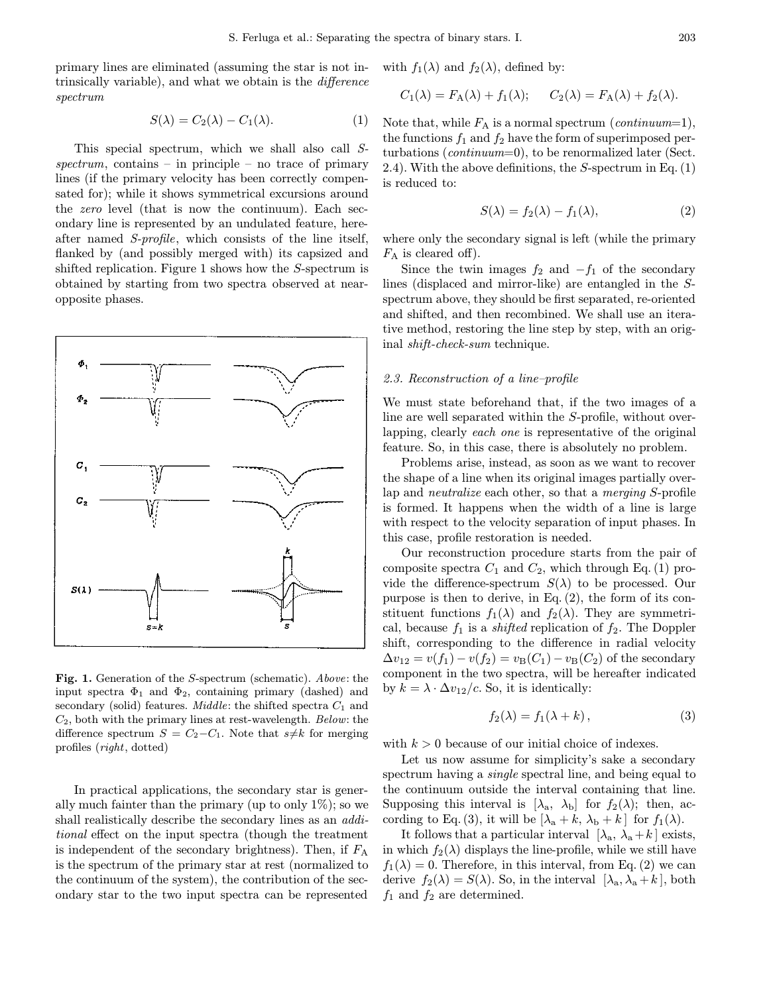primary lines are eliminated (assuming the star is not intrinsically variable), and what we obtain is the difference spectrum

$$
S(\lambda) = C_2(\lambda) - C_1(\lambda). \tag{1}
$$

This special spectrum, which we shall also call S $spectrum$ , contains – in principle – no trace of primary lines (if the primary velocity has been correctly compensated for); while it shows symmetrical excursions around the zero level (that is now the continuum). Each secondary line is represented by an undulated feature, hereafter named S-profile, which consists of the line itself, flanked by (and possibly merged with) its capsized and shifted replication. Figure 1 shows how the S-spectrum is obtained by starting from two spectra observed at nearopposite phases.



Fig. 1. Generation of the S-spectrum (schematic). Above: the input spectra  $\Phi_1$  and  $\Phi_2$ , containing primary (dashed) and secondary (solid) features. *Middle*: the shifted spectra  $C_1$  and  $C_2$ , both with the primary lines at rest-wavelength. Below: the difference spectrum  $S = C_2 - C_1$ . Note that  $s \neq k$  for merging profiles (right, dotted)

In practical applications, the secondary star is generally much fainter than the primary (up to only  $1\%$ ); so we shall realistically describe the secondary lines as an additional effect on the input spectra (though the treatment is independent of the secondary brightness). Then, if  $F_A$ is the spectrum of the primary star at rest (normalized to the continuum of the system), the contribution of the secondary star to the two input spectra can be represented

with  $f_1(\lambda)$  and  $f_2(\lambda)$ , defined by:

$$
C_1(\lambda) = F_A(\lambda) + f_1(\lambda); \qquad C_2(\lambda) = F_A(\lambda) + f_2(\lambda).
$$

Note that, while  $F_A$  is a normal spectrum (*continuum*=1), the functions  $f_1$  and  $f_2$  have the form of superimposed perturbations (continuum=0), to be renormalized later (Sect. 2.4). With the above definitions, the S-spectrum in Eq. (1) is reduced to:

$$
S(\lambda) = f_2(\lambda) - f_1(\lambda), \tag{2}
$$

where only the secondary signal is left (while the primary  $F_A$  is cleared off).

Since the twin images  $f_2$  and  $-f_1$  of the secondary lines (displaced and mirror-like) are entangled in the Sspectrum above, they should be first separated, re-oriented and shifted, and then recombined. We shall use an iterative method, restoring the line step by step, with an original shift-check-sum technique.

#### 2.3. Reconstruction of a line–profile

We must state beforehand that, if the two images of a line are well separated within the S-profile, without overlapping, clearly each one is representative of the original feature. So, in this case, there is absolutely no problem.

Problems arise, instead, as soon as we want to recover the shape of a line when its original images partially overlap and neutralize each other, so that a merging S-profile is formed. It happens when the width of a line is large with respect to the velocity separation of input phases. In this case, profile restoration is needed.

Our reconstruction procedure starts from the pair of composite spectra  $C_1$  and  $C_2$ , which through Eq. (1) provide the difference-spectrum  $S(\lambda)$  to be processed. Our purpose is then to derive, in Eq. (2), the form of its constituent functions  $f_1(\lambda)$  and  $f_2(\lambda)$ . They are symmetrical, because  $f_1$  is a *shifted* replication of  $f_2$ . The Doppler shift, corresponding to the difference in radial velocity  $\Delta v_{12} = v(f_1) - v(f_2) = v_B(C_1) - v_B(C_2)$  of the secondary component in the two spectra, will be hereafter indicated by  $k = \lambda \cdot \Delta v_{12}/c$ . So, it is identically:

$$
f_2(\lambda) = f_1(\lambda + k), \tag{3}
$$

with  $k > 0$  because of our initial choice of indexes.

Let us now assume for simplicity's sake a secondary spectrum having a single spectral line, and being equal to the continuum outside the interval containing that line. Supposing this interval is  $[\lambda_a, \lambda_b]$  for  $f_2(\lambda)$ ; then, according to Eq. (3), it will be  $[\lambda_a + k, \lambda_b + k]$  for  $f_1(\lambda)$ .

It follows that a particular interval  $[\lambda_a, \lambda_a + k]$  exists, in which  $f_2(\lambda)$  displays the line-profile, while we still have  $f_1(\lambda) = 0$ . Therefore, in this interval, from Eq. (2) we can derive  $f_2(\lambda) = S(\lambda)$ . So, in the interval  $[\lambda_a, \lambda_a + k]$ , both  $f_1$  and  $f_2$  are determined.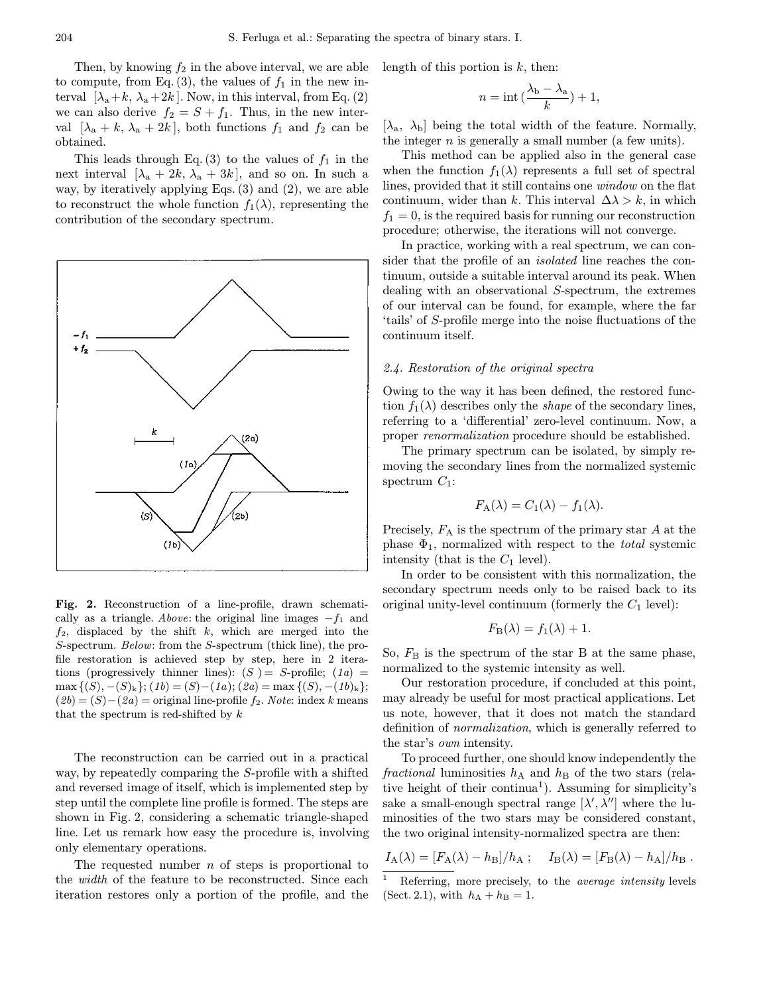Then, by knowing  $f_2$  in the above interval, we are able to compute, from Eq.  $(3)$ , the values of  $f_1$  in the new interval  $[\lambda_a+k, \lambda_a+2k]$ . Now, in this interval, from Eq. (2) we can also derive  $f_2 = S + f_1$ . Thus, in the new interval  $[\lambda_a + k, \lambda_a + 2k]$ , both functions  $f_1$  and  $f_2$  can be obtained.

This leads through Eq. (3) to the values of  $f_1$  in the next interval  $[\lambda_a + 2k, \lambda_a + 3k]$ , and so on. In such a way, by iteratively applying Eqs. (3) and (2), we are able to reconstruct the whole function  $f_1(\lambda)$ , representing the contribution of the secondary spectrum.



Fig. 2. Reconstruction of a line-profile, drawn schematically as a triangle. Above: the original line images  $-f_1$  and  $f_2$ , displaced by the shift k, which are merged into the S-spectrum. Below: from the S-spectrum (thick line), the profile restoration is achieved step by step, here in 2 iterations (progressively thinner lines):  $(S) = S$ -profile;  $(1a) =$ max  $\{(S), -(S)_k\}; (1b) = (S) - (1a); (2a) = \max\{(S), -(1b)_k\};$  $(2b)=(S)-(2a)$  = original line-profile  $f_2$ . Note: index k means that the spectrum is red-shifted by  $k$ 

The reconstruction can be carried out in a practical way, by repeatedly comparing the S-profile with a shifted and reversed image of itself, which is implemented step by step until the complete line profile is formed. The steps are shown in Fig. 2, considering a schematic triangle-shaped line. Let us remark how easy the procedure is, involving only elementary operations.

The requested number  $n$  of steps is proportional to the width of the feature to be reconstructed. Since each iteration restores only a portion of the profile, and the length of this portion is  $k$ , then:

$$
n = \mathrm{int}\left(\frac{\lambda_b - \lambda_a}{k}\right) + 1,
$$

 $[\lambda_a, \lambda_b]$  being the total width of the feature. Normally, the integer  $n$  is generally a small number (a few units).

This method can be applied also in the general case when the function  $f_1(\lambda)$  represents a full set of spectral lines, provided that it still contains one window on the flat continuum, wider than k. This interval  $\Delta\lambda > k$ , in which  $f_1 = 0$ , is the required basis for running our reconstruction procedure; otherwise, the iterations will not converge.

In practice, working with a real spectrum, we can consider that the profile of an isolated line reaches the continuum, outside a suitable interval around its peak. When dealing with an observational S-spectrum, the extremes of our interval can be found, for example, where the far 'tails' of S-profile merge into the noise fluctuations of the continuum itself.

#### 2.4. Restoration of the original spectra

Owing to the way it has been defined, the restored function  $f_1(\lambda)$  describes only the *shape* of the secondary lines, referring to a 'differential' zero-level continuum. Now, a proper renormalization procedure should be established.

The primary spectrum can be isolated, by simply removing the secondary lines from the normalized systemic spectrum  $C_1$ :

$$
F_{\mathcal{A}}(\lambda) = C_1(\lambda) - f_1(\lambda).
$$

Precisely,  $F_A$  is the spectrum of the primary star  $A$  at the phase  $\Phi_1$ , normalized with respect to the *total* systemic intensity (that is the  $C_1$  level).

In order to be consistent with this normalization, the secondary spectrum needs only to be raised back to its original unity-level continuum (formerly the  $C_1$  level):

$$
F_{\mathcal{B}}(\lambda) = f_1(\lambda) + 1.
$$

So,  $F<sub>B</sub>$  is the spectrum of the star B at the same phase, normalized to the systemic intensity as well.

Our restoration procedure, if concluded at this point, may already be useful for most practical applications. Let us note, however, that it does not match the standard definition of normalization, which is generally referred to the star's own intensity.

To proceed further, one should know independently the fractional luminosities  $h_A$  and  $h_B$  of the two stars (relative height of their continua<sup>1</sup>). Assuming for simplicity's sake a small-enough spectral range  $[\lambda', \lambda'']$  where the luminosities of the two stars may be considered constant, the two original intensity-normalized spectra are then:

$$
I_{\rm A}(\lambda)=[F_{\rm A}(\lambda)-h_{\rm B}]/h_{\rm A}; \quad I_{\rm B}(\lambda)=[F_{\rm B}(\lambda)-h_{\rm A}]/h_{\rm B}.
$$

Referring, more precisely, to the *average intensity* levels (Sect. 2.1), with  $h_A + h_B = 1$ .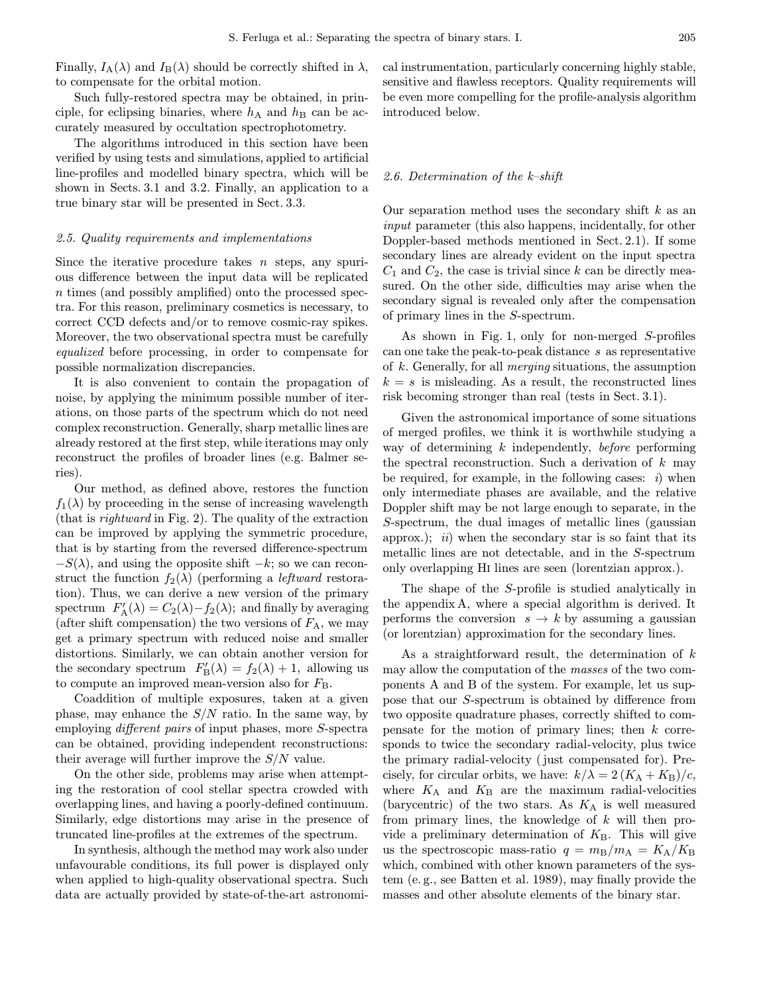Finally,  $I_A(\lambda)$  and  $I_B(\lambda)$  should be correctly shifted in  $\lambda$ , to compensate for the orbital motion.

Such fully-restored spectra may be obtained, in principle, for eclipsing binaries, where  $h_A$  and  $h_B$  can be accurately measured by occultation spectrophotometry.

The algorithms introduced in this section have been verified by using tests and simulations, applied to artificial line-profiles and modelled binary spectra, which will be shown in Sects. 3.1 and 3.2. Finally, an application to a true binary star will be presented in Sect. 3.3.

#### 2.5. Quality requirements and implementations

Since the iterative procedure takes  $n$  steps, any spurious difference between the input data will be replicated n times (and possibly amplified) onto the processed spectra. For this reason, preliminary cosmetics is necessary, to correct CCD defects and/or to remove cosmic-ray spikes. Moreover, the two observational spectra must be carefully equalized before processing, in order to compensate for possible normalization discrepancies.

It is also convenient to contain the propagation of noise, by applying the minimum possible number of iterations, on those parts of the spectrum which do not need complex reconstruction. Generally, sharp metallic lines are already restored at the first step, while iterations may only reconstruct the profiles of broader lines (e.g. Balmer series).

Our method, as defined above, restores the function  $f_1(\lambda)$  by proceeding in the sense of increasing wavelength (that is rightward in Fig. 2). The quality of the extraction can be improved by applying the symmetric procedure, that is by starting from the reversed difference-spectrum  $-S(\lambda)$ , and using the opposite shift  $-k$ ; so we can reconstruct the function  $f_2(\lambda)$  (performing a *leftward* restoration). Thus, we can derive a new version of the primary spectrum  $F'_{\mathbf{A}}(\lambda) = C_2(\lambda) - f_2(\lambda)$ ; and finally by averaging (after shift compensation) the two versions of  $F_A$ , we may get a primary spectrum with reduced noise and smaller distortions. Similarly, we can obtain another version for the secondary spectrum  $F'_{\text{B}}(\lambda) = f_2(\lambda) + 1$ , allowing us to compute an improved mean-version also for  $F_{\text{B}}$ .

Coaddition of multiple exposures, taken at a given phase, may enhance the  $S/N$  ratio. In the same way, by employing different pairs of input phases, more S-spectra can be obtained, providing independent reconstructions: their average will further improve the  $S/N$  value.

On the other side, problems may arise when attempting the restoration of cool stellar spectra crowded with overlapping lines, and having a poorly-defined continuum. Similarly, edge distortions may arise in the presence of truncated line-profiles at the extremes of the spectrum.

In synthesis, although the method may work also under unfavourable conditions, its full power is displayed only when applied to high-quality observational spectra. Such data are actually provided by state-of-the-art astronomical instrumentation, particularly concerning highly stable, sensitive and flawless receptors. Quality requirements will be even more compelling for the profile-analysis algorithm introduced below.

#### 2.6. Determination of the k–shift

Our separation method uses the secondary shift  $k$  as an input parameter (this also happens, incidentally, for other Doppler-based methods mentioned in Sect. 2.1). If some secondary lines are already evident on the input spectra  $C_1$  and  $C_2$ , the case is trivial since k can be directly measured. On the other side, difficulties may arise when the secondary signal is revealed only after the compensation of primary lines in the S-spectrum.

As shown in Fig. 1, only for non-merged S-profiles can one take the peak-to-peak distance s as representative of k. Generally, for all merging situations, the assumption  $k = s$  is misleading. As a result, the reconstructed lines risk becoming stronger than real (tests in Sect. 3.1).

Given the astronomical importance of some situations of merged profiles, we think it is worthwhile studying a way of determining  $k$  independently, before performing the spectral reconstruction. Such a derivation of  $k$  may be required, for example, in the following cases:  $i)$  when only intermediate phases are available, and the relative Doppler shift may be not large enough to separate, in the S-spectrum, the dual images of metallic lines (gaussian approx.);  $ii)$  when the secondary star is so faint that its metallic lines are not detectable, and in the S-spectrum only overlapping Hi lines are seen (lorentzian approx.).

The shape of the S-profile is studied analytically in the appendix A, where a special algorithm is derived. It performs the conversion  $s \to k$  by assuming a gaussian (or lorentzian) approximation for the secondary lines.

As a straightforward result, the determination of  $k$ may allow the computation of the masses of the two components A and B of the system. For example, let us suppose that our S-spectrum is obtained by difference from two opposite quadrature phases, correctly shifted to compensate for the motion of primary lines; then  $k$  corresponds to twice the secondary radial-velocity, plus twice the primary radial-velocity (just compensated for). Precisely, for circular orbits, we have:  $k/\lambda = 2(K_A + K_B)/c$ , where  $K_A$  and  $K_B$  are the maximum radial-velocities (barycentric) of the two stars. As  $K_A$  is well measured from primary lines, the knowledge of  $k$  will then provide a preliminary determination of  $K_{\text{B}}$ . This will give us the spectroscopic mass-ratio  $q = m_B/m_A = K_A/K_B$ which, combined with other known parameters of the system (e. g., see Batten et al. 1989), may finally provide the masses and other absolute elements of the binary star.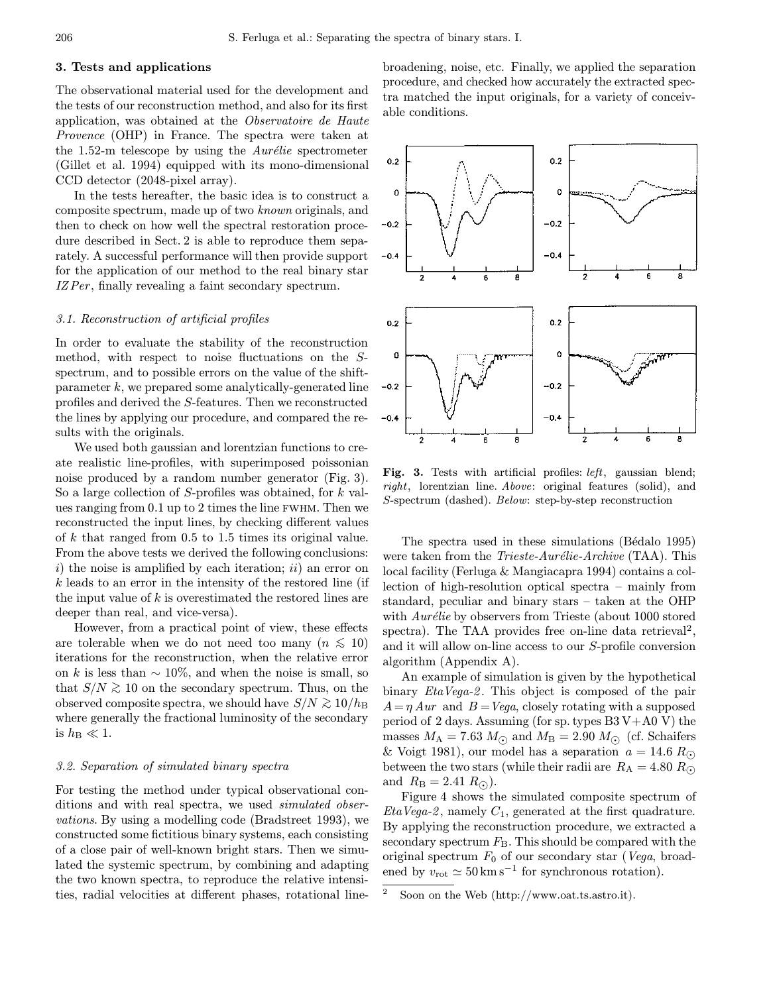## 3. Tests and applications

The observational material used for the development and the tests of our reconstruction method, and also for its first application, was obtained at the Observatoire de Haute Provence (OHP) in France. The spectra were taken at the 1.52-m telescope by using the  $Aurélie$  spectrometer (Gillet et al. 1994) equipped with its mono-dimensional CCD detector (2048-pixel array).

In the tests hereafter, the basic idea is to construct a composite spectrum, made up of two known originals, and then to check on how well the spectral restoration procedure described in Sect. 2 is able to reproduce them separately. A successful performance will then provide support for the application of our method to the real binary star IZ Per, finally revealing a faint secondary spectrum.

#### 3.1. Reconstruction of artificial profiles

In order to evaluate the stability of the reconstruction method, with respect to noise fluctuations on the Sspectrum, and to possible errors on the value of the shiftparameter  $k$ , we prepared some analytically-generated line profiles and derived the S-features. Then we reconstructed the lines by applying our procedure, and compared the results with the originals.

We used both gaussian and lorentzian functions to create realistic line-profiles, with superimposed poissonian noise produced by a random number generator (Fig. 3). So a large collection of S-profiles was obtained, for k values ranging from 0.1 up to 2 times the line fwhm. Then we reconstructed the input lines, by checking different values of  $k$  that ranged from  $0.5$  to  $1.5$  times its original value. From the above tests we derived the following conclusions: i) the noise is amplified by each iteration;  $ii$ ) an error on k leads to an error in the intensity of the restored line (if the input value of  $k$  is overestimated the restored lines are deeper than real, and vice-versa).

However, from a practical point of view, these effects are tolerable when we do not need too many  $(n \leq 10)$ iterations for the reconstruction, when the relative error on k is less than  $\sim 10\%$ , and when the noise is small, so that  $S/N \gtrsim 10$  on the secondary spectrum. Thus, on the observed composite spectra, we should have  $S/N \gtrsim 10/h_B$ where generally the fractional luminosity of the secondary is  $h_{\rm B} \ll 1$ .

## 3.2. Separation of simulated binary spectra

For testing the method under typical observational conditions and with real spectra, we used *simulated obser*vations. By using a modelling code (Bradstreet 1993), we constructed some fictitious binary systems, each consisting of a close pair of well-known bright stars. Then we simulated the systemic spectrum, by combining and adapting the two known spectra, to reproduce the relative intensities, radial velocities at different phases, rotational linebroadening, noise, etc. Finally, we applied the separation procedure, and checked how accurately the extracted spectra matched the input originals, for a variety of conceivable conditions.



Fig. 3. Tests with artificial profiles: *left*, gaussian blend; right, lorentzian line. Above: original features (solid), and S-spectrum (dashed). Below: step-by-step reconstruction

The spectra used in these simulations (Bédalo 1995) were taken from the *Trieste-Aurélie-Archive* (TAA). This local facility (Ferluga & Mangiacapra 1994) contains a collection of high-resolution optical spectra – mainly from standard, peculiar and binary stars – taken at the OHP with  $Aur\'{e}lie$  by observers from Trieste (about 1000 stored spectra). The TAA provides free on-line data retrieval<sup>2</sup>, and it will allow on-line access to our S-profile conversion algorithm (Appendix A).

An example of simulation is given by the hypothetical binary *EtaVega-2*. This object is composed of the pair  $A = \eta A u r$  and  $B = Vega$ , closely rotating with a supposed period of 2 days. Assuming (for sp. types  $B3V+A0V$ ) the masses  $M_A = 7.63 M_{\odot}$  and  $M_B = 2.90 M_{\odot}$  (cf. Schaifers & Voigt 1981), our model has a separation  $a = 14.6 R_{\odot}$ between the two stars (while their radii are  $R_A = 4.80 R_{\odot}$ and  $R_{\rm B} = 2.41 R_{\odot}$ ).

Figure 4 shows the simulated composite spectrum of  $Eta Vega-2$ , namely  $C_1$ , generated at the first quadrature. By applying the reconstruction procedure, we extracted a secondary spectrum  $F<sub>B</sub>$ . This should be compared with the original spectrum  $F_0$  of our secondary star (*Vega*, broadened by  $v_{\text{rot}} \simeq 50 \,\text{km} \,\text{s}^{-1}$  for synchronous rotation).

Soon on the Web (http://www.oat.ts.astro.it).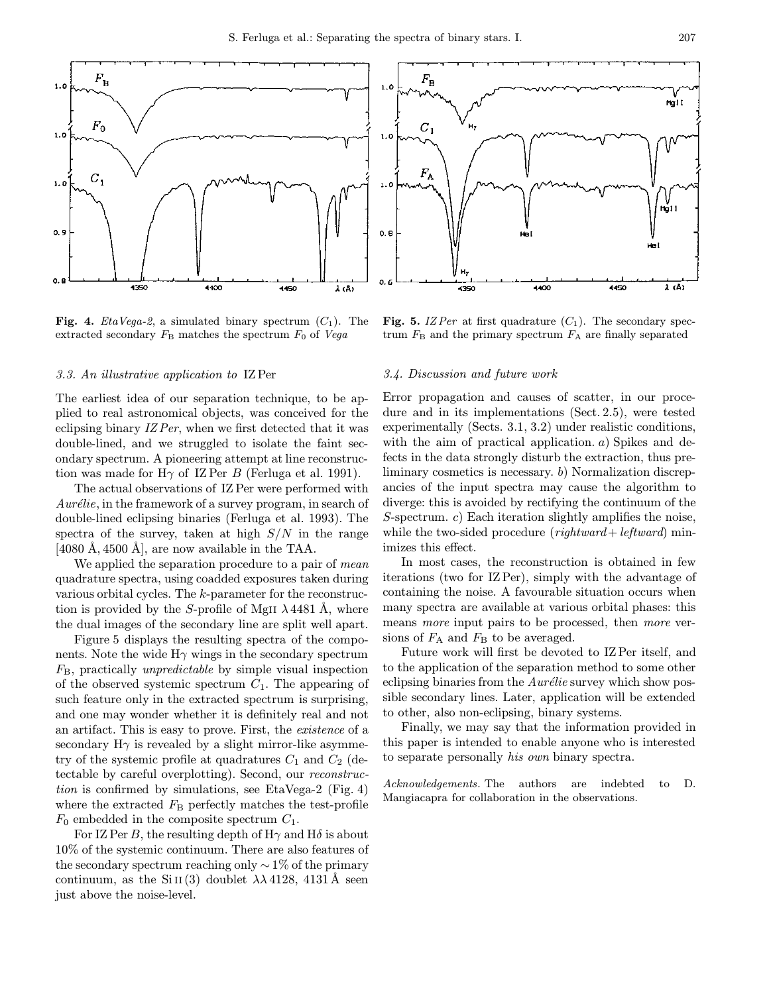

**Fig. 4.** *EtaVega-2*, a simulated binary spectrum  $(C_1)$ . The extracted secondary  $F_{\rm B}$  matches the spectrum  $F_0$  of Vega

#### 3.3. An illustrative application to IZPer

The earliest idea of our separation technique, to be applied to real astronomical objects, was conceived for the eclipsing binary IZ Per, when we first detected that it was double-lined, and we struggled to isolate the faint secondary spectrum. A pioneering attempt at line reconstruction was made for  $H\gamma$  of IZPer B (Ferluga et al. 1991).

The actual observations of IZ Per were performed with  $Aur\'elie$ , in the framework of a survey program, in search of double-lined eclipsing binaries (Ferluga et al. 1993). The spectra of the survey, taken at high  $S/N$  in the range  $[4080 \text{ Å}, 4500 \text{ Å}]$ , are now available in the TAA.

We applied the separation procedure to a pair of mean quadrature spectra, using coadded exposures taken during various orbital cycles. The k-parameter for the reconstruction is provided by the S-profile of MgII  $\lambda$  4481 Å, where the dual images of the secondary line are split well apart.

Figure 5 displays the resulting spectra of the components. Note the wide  $H\gamma$  wings in the secondary spectrum  $F_{\rm B}$ , practically *unpredictable* by simple visual inspection of the observed systemic spectrum  $C_1$ . The appearing of such feature only in the extracted spectrum is surprising, and one may wonder whether it is definitely real and not an artifact. This is easy to prove. First, the existence of a secondary  $H\gamma$  is revealed by a slight mirror-like asymmetry of the systemic profile at quadratures  $C_1$  and  $C_2$  (detectable by careful overplotting). Second, our reconstruction is confirmed by simulations, see EtaVega-2 (Fig. 4) where the extracted  $F_{\rm B}$  perfectly matches the test-profile  $F_0$  embedded in the composite spectrum  $C_1$ .

For IZ Per B, the resulting depth of  $H\gamma$  and  $H\delta$  is about 10% of the systemic continuum. There are also features of the secondary spectrum reaching only  $\sim$  1% of the primary continuum, as the Si II(3) doublet  $\lambda \lambda$  4128, 4131 Å seen just above the noise-level.

rig I I  $H_{\gamma}$ nýt I ÆГ 4450  $\lambda$  (A) 4350 4400

Fig. 5. IZ Per at first quadrature  $(C_1)$ . The secondary spectrum  $F_{\rm B}$  and the primary spectrum  $F_{\rm A}$  are finally separated

#### 3.4. Discussion and future work

Error propagation and causes of scatter, in our procedure and in its implementations (Sect. 2.5), were tested experimentally (Sects. 3.1, 3.2) under realistic conditions, with the aim of practical application. a) Spikes and defects in the data strongly disturb the extraction, thus preliminary cosmetics is necessary. b) Normalization discrepancies of the input spectra may cause the algorithm to diverge: this is avoided by rectifying the continuum of the S-spectrum. c) Each iteration slightly amplifies the noise, while the two-sided procedure  $(rightward + leftward)$  minimizes this effect.

In most cases, the reconstruction is obtained in few iterations (two for IZPer), simply with the advantage of containing the noise. A favourable situation occurs when many spectra are available at various orbital phases: this means *more* input pairs to be processed, then *more* versions of  $F_A$  and  $F_B$  to be averaged.

Future work will first be devoted to IZPer itself, and to the application of the separation method to some other eclipsing binaries from the  $Aur\'{e}lie$  survey which show possible secondary lines. Later, application will be extended to other, also non-eclipsing, binary systems.

Finally, we may say that the information provided in this paper is intended to enable anyone who is interested to separate personally his own binary spectra.

Acknowledgements. The authors are indebted to D. Mangiacapra for collaboration in the observations.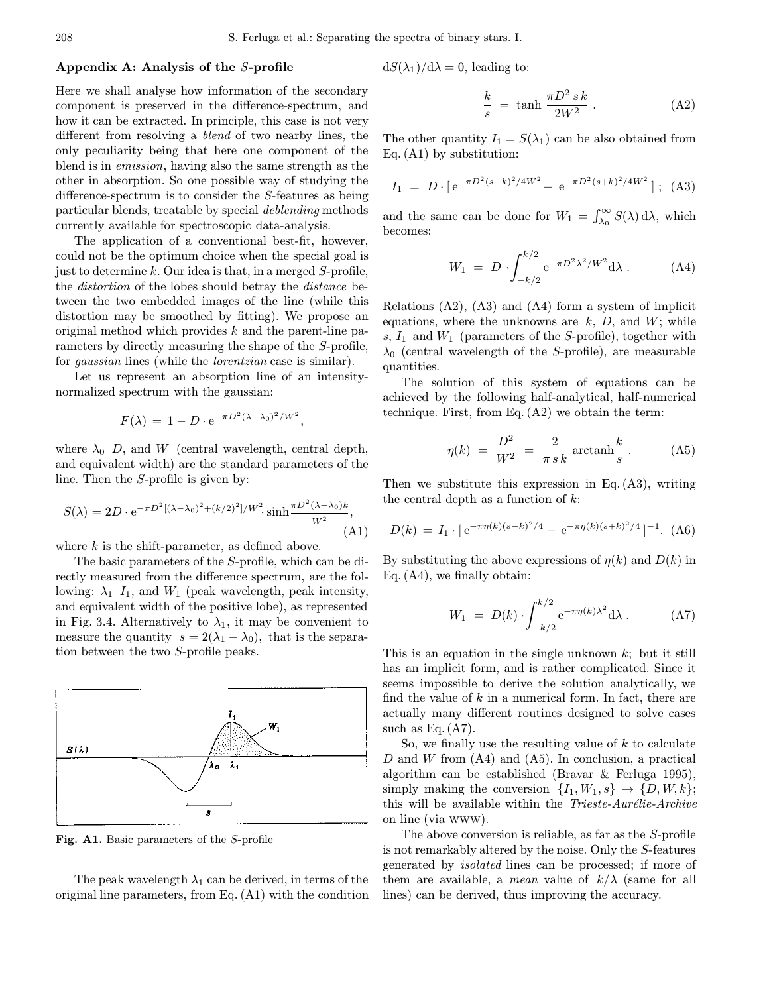#### Appendix A: Analysis of the S-profile

Here we shall analyse how information of the secondary component is preserved in the difference-spectrum, and how it can be extracted. In principle, this case is not very different from resolving a blend of two nearby lines, the only peculiarity being that here one component of the blend is in emission, having also the same strength as the other in absorption. So one possible way of studying the difference-spectrum is to consider the S-features as being particular blends, treatable by special deblending methods currently available for spectroscopic data-analysis.

The application of a conventional best-fit, however, could not be the optimum choice when the special goal is just to determine k. Our idea is that, in a merged  $S$ -profile, the distortion of the lobes should betray the distance between the two embedded images of the line (while this distortion may be smoothed by fitting). We propose an original method which provides  $k$  and the parent-line parameters by directly measuring the shape of the S-profile, for gaussian lines (while the lorentzian case is similar).

Let us represent an absorption line of an intensitynormalized spectrum with the gaussian:

$$
F(\lambda) = 1 - D \cdot e^{-\pi D^2 (\lambda - \lambda_0)^2 / W^2},
$$

where  $\lambda_0$  D, and W (central wavelength, central depth, and equivalent width) are the standard parameters of the line. Then the S-profile is given by:

$$
S(\lambda) = 2D \cdot e^{-\pi D^2 [(\lambda - \lambda_0)^2 + (k/2)^2]/W^2} \cdot \sinh \frac{\pi D^2 (\lambda - \lambda_0) k}{W^2},
$$
\n(A1)

where  $k$  is the shift-parameter, as defined above.

The basic parameters of the S-profile, which can be directly measured from the difference spectrum, are the following:  $\lambda_1$  I<sub>1</sub>, and  $W_1$  (peak wavelength, peak intensity, and equivalent width of the positive lobe), as represented in Fig. 3.4. Alternatively to  $\lambda_1$ , it may be convenient to measure the quantity  $s = 2(\lambda_1 - \lambda_0)$ , that is the separation between the two S-profile peaks.



Fig. A1. Basic parameters of the S-profile

The peak wavelength  $\lambda_1$  can be derived, in terms of the original line parameters, from Eq. (A1) with the condition  $dS(\lambda_1)/d\lambda = 0$ , leading to:

$$
\frac{k}{s} = \tanh \frac{\pi D^2 s k}{2W^2} . \tag{A2}
$$

The other quantity  $I_1 = S(\lambda_1)$  can be also obtained from Eq. (A1) by substitution:

$$
I_1 = D \cdot [e^{-\pi D^2 (s-k)^2 / 4W^2} - e^{-\pi D^2 (s+k)^2 / 4W^2}]; \text{ (A3)}
$$

and the same can be done for  $W_1 = \int_{\lambda_0}^{\infty} S(\lambda) d\lambda$ , which becomes:

$$
W_1 = D \cdot \int_{-k/2}^{k/2} e^{-\pi D^2 \lambda^2 / W^2} d\lambda . \tag{A4}
$$

Relations (A2), (A3) and (A4) form a system of implicit equations, where the unknowns are  $k$ ,  $D$ , and  $W$ ; while s,  $I_1$  and  $W_1$  (parameters of the S-profile), together with  $\lambda_0$  (central wavelength of the S-profile), are measurable quantities.

The solution of this system of equations can be achieved by the following half-analytical, half-numerical technique. First, from Eq. (A2) we obtain the term:

$$
\eta(k) = \frac{D^2}{W^2} = \frac{2}{\pi s k} \operatorname{arctanh} \frac{k}{s} . \tag{A5}
$$

Then we substitute this expression in Eq.  $(A3)$ , writing the central depth as a function of  $k$ :

$$
D(k) = I_1 \cdot [e^{-\pi \eta(k)(s-k)^2/4} - e^{-\pi \eta(k)(s+k)^2/4}]^{-1}.
$$
 (A6)

By substituting the above expressions of  $\eta(k)$  and  $D(k)$  in Eq. (A4), we finally obtain:

$$
W_1 = D(k) \cdot \int_{-k/2}^{k/2} e^{-\pi \eta(k)\lambda^2} d\lambda . \tag{A7}
$$

This is an equation in the single unknown  $k$ ; but it still has an implicit form, and is rather complicated. Since it seems impossible to derive the solution analytically, we find the value of  $k$  in a numerical form. In fact, there are actually many different routines designed to solve cases such as Eq.  $(A7)$ .

So, we finally use the resulting value of  $k$  to calculate  $D$  and  $W$  from  $(A4)$  and  $(A5)$ . In conclusion, a practical algorithm can be established (Bravar & Ferluga 1995), simply making the conversion  $\{I_1, W_1, s\} \rightarrow \{D, W, k\};$ this will be available within the *Trieste-Aurélie-Archive* on line (via www).

The above conversion is reliable, as far as the S-profile is not remarkably altered by the noise. Only the S-features generated by isolated lines can be processed; if more of them are available, a *mean* value of  $k/\lambda$  (same for all lines) can be derived, thus improving the accuracy.